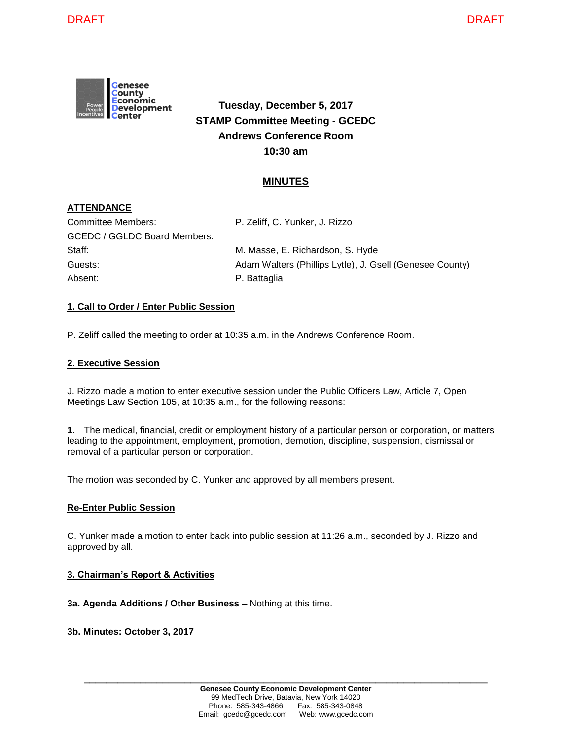

**Tuesday, December 5, 2017 STAMP Committee Meeting - GCEDC Andrews Conference Room 10:30 am**

# **MINUTES**

# **ATTENDANCE**

| Committee Members:           | P. Zeliff, C. Yunker, J. Rizzo                           |
|------------------------------|----------------------------------------------------------|
| GCEDC / GGLDC Board Members: |                                                          |
| Staff:                       | M. Masse, E. Richardson, S. Hyde                         |
| Guests:                      | Adam Walters (Phillips Lytle), J. Gsell (Genesee County) |
| Absent:                      | P. Battaglia                                             |
|                              |                                                          |

### **1. Call to Order / Enter Public Session**

P. Zeliff called the meeting to order at 10:35 a.m. in the Andrews Conference Room.

### **2. Executive Session**

J. Rizzo made a motion to enter executive session under the Public Officers Law, Article 7, Open Meetings Law Section 105, at 10:35 a.m., for the following reasons:

**1.** The medical, financial, credit or employment history of a particular person or corporation, or matters leading to the appointment, employment, promotion, demotion, discipline, suspension, dismissal or removal of a particular person or corporation.

The motion was seconded by C. Yunker and approved by all members present.

#### **Re-Enter Public Session**

C. Yunker made a motion to enter back into public session at 11:26 a.m., seconded by J. Rizzo and approved by all.

#### **3. Chairman's Report & Activities**

**3a. Agenda Additions / Other Business –** Nothing at this time.

**3b. Minutes: October 3, 2017**

**\_\_\_\_\_\_\_\_\_\_\_\_\_\_\_\_\_\_\_\_\_\_\_\_\_\_\_\_\_\_\_\_\_\_\_\_\_\_\_\_\_\_\_\_\_\_\_\_\_\_\_\_\_\_\_\_\_\_\_\_\_\_\_\_\_\_\_\_\_\_\_\_**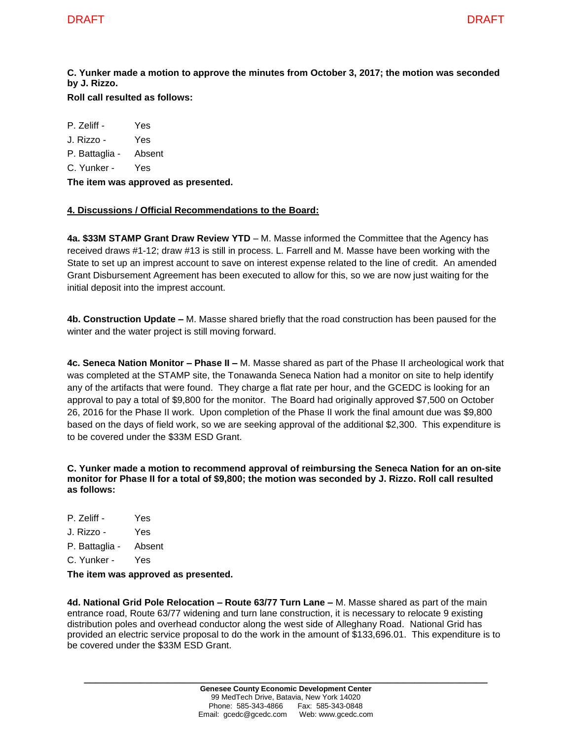**C. Yunker made a motion to approve the minutes from October 3, 2017; the motion was seconded by J. Rizzo.** 

**Roll call resulted as follows:**

P. Zeliff - Yes J. Rizzo - Yes P. Battaglia - Absent C. Yunker - Yes **The item was approved as presented.**

## **4. Discussions / Official Recommendations to the Board:**

**4a. \$33M STAMP Grant Draw Review YTD** – M. Masse informed the Committee that the Agency has received draws #1-12; draw #13 is still in process. L. Farrell and M. Masse have been working with the State to set up an imprest account to save on interest expense related to the line of credit. An amended Grant Disbursement Agreement has been executed to allow for this, so we are now just waiting for the initial deposit into the imprest account.

**4b. Construction Update –** M. Masse shared briefly that the road construction has been paused for the winter and the water project is still moving forward.

**4c. Seneca Nation Monitor – Phase II –** M. Masse shared as part of the Phase II archeological work that was completed at the STAMP site, the Tonawanda Seneca Nation had a monitor on site to help identify any of the artifacts that were found. They charge a flat rate per hour, and the GCEDC is looking for an approval to pay a total of \$9,800 for the monitor. The Board had originally approved \$7,500 on October 26, 2016 for the Phase II work. Upon completion of the Phase II work the final amount due was \$9,800 based on the days of field work, so we are seeking approval of the additional \$2,300. This expenditure is to be covered under the \$33M ESD Grant.

**C. Yunker made a motion to recommend approval of reimbursing the Seneca Nation for an on-site monitor for Phase II for a total of \$9,800; the motion was seconded by J. Rizzo. Roll call resulted as follows:**

- P. Zeliff Yes
- J. Rizzo Yes
- P. Battaglia Absent
- C. Yunker Yes

**The item was approved as presented.**

**4d. National Grid Pole Relocation – Route 63/77 Turn Lane –** M. Masse shared as part of the main entrance road, Route 63/77 widening and turn lane construction, it is necessary to relocate 9 existing distribution poles and overhead conductor along the west side of Alleghany Road. National Grid has provided an electric service proposal to do the work in the amount of \$133,696.01. This expenditure is to be covered under the \$33M ESD Grant.

**\_\_\_\_\_\_\_\_\_\_\_\_\_\_\_\_\_\_\_\_\_\_\_\_\_\_\_\_\_\_\_\_\_\_\_\_\_\_\_\_\_\_\_\_\_\_\_\_\_\_\_\_\_\_\_\_\_\_\_\_\_\_\_\_\_\_\_\_\_\_\_\_**